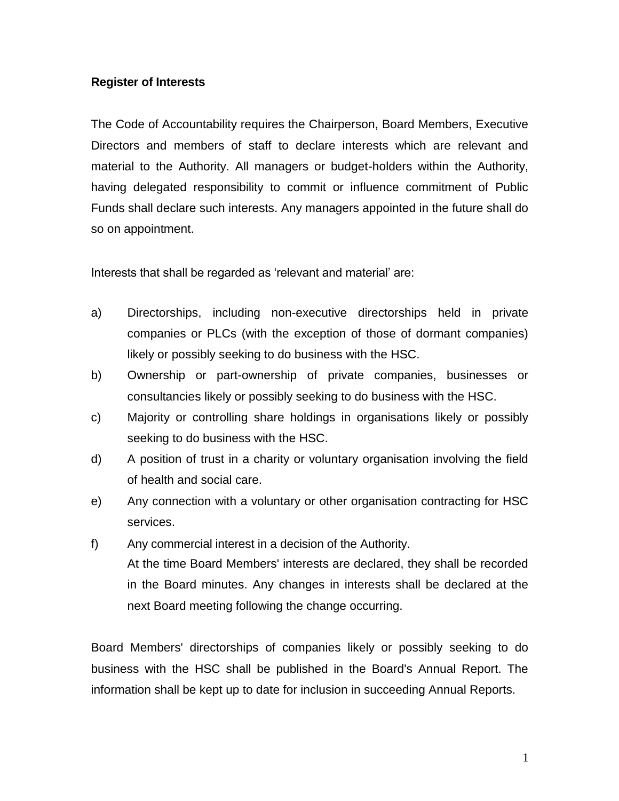## **Register of Interests**

The Code of Accountability requires the Chairperson, Board Members, Executive Directors and members of staff to declare interests which are relevant and material to the Authority. All managers or budget-holders within the Authority, having delegated responsibility to commit or influence commitment of Public Funds shall declare such interests. Any managers appointed in the future shall do so on appointment.

Interests that shall be regarded as 'relevant and material' are:

- a) Directorships, including non-executive directorships held in private companies or PLCs (with the exception of those of dormant companies) likely or possibly seeking to do business with the HSC.
- b) Ownership or part-ownership of private companies, businesses or consultancies likely or possibly seeking to do business with the HSC.
- c) Majority or controlling share holdings in organisations likely or possibly seeking to do business with the HSC.
- d) A position of trust in a charity or voluntary organisation involving the field of health and social care.
- e) Any connection with a voluntary or other organisation contracting for HSC services.
- f) Any commercial interest in a decision of the Authority. At the time Board Members' interests are declared, they shall be recorded in the Board minutes. Any changes in interests shall be declared at the next Board meeting following the change occurring.

Board Members' directorships of companies likely or possibly seeking to do business with the HSC shall be published in the Board's Annual Report. The information shall be kept up to date for inclusion in succeeding Annual Reports.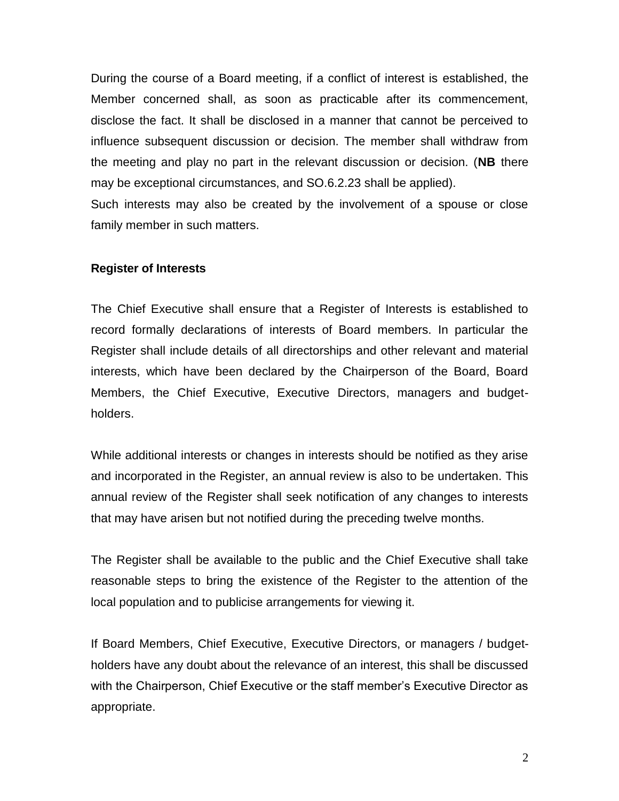During the course of a Board meeting, if a conflict of interest is established, the Member concerned shall, as soon as practicable after its commencement, disclose the fact. It shall be disclosed in a manner that cannot be perceived to influence subsequent discussion or decision. The member shall withdraw from the meeting and play no part in the relevant discussion or decision. (**NB** there may be exceptional circumstances, and SO.6.2.23 shall be applied).

Such interests may also be created by the involvement of a spouse or close family member in such matters.

## **Register of Interests**

The Chief Executive shall ensure that a Register of Interests is established to record formally declarations of interests of Board members. In particular the Register shall include details of all directorships and other relevant and material interests, which have been declared by the Chairperson of the Board, Board Members, the Chief Executive, Executive Directors, managers and budgetholders.

While additional interests or changes in interests should be notified as they arise and incorporated in the Register, an annual review is also to be undertaken. This annual review of the Register shall seek notification of any changes to interests that may have arisen but not notified during the preceding twelve months.

The Register shall be available to the public and the Chief Executive shall take reasonable steps to bring the existence of the Register to the attention of the local population and to publicise arrangements for viewing it.

If Board Members, Chief Executive, Executive Directors, or managers / budgetholders have any doubt about the relevance of an interest, this shall be discussed with the Chairperson, Chief Executive or the staff member's Executive Director as appropriate.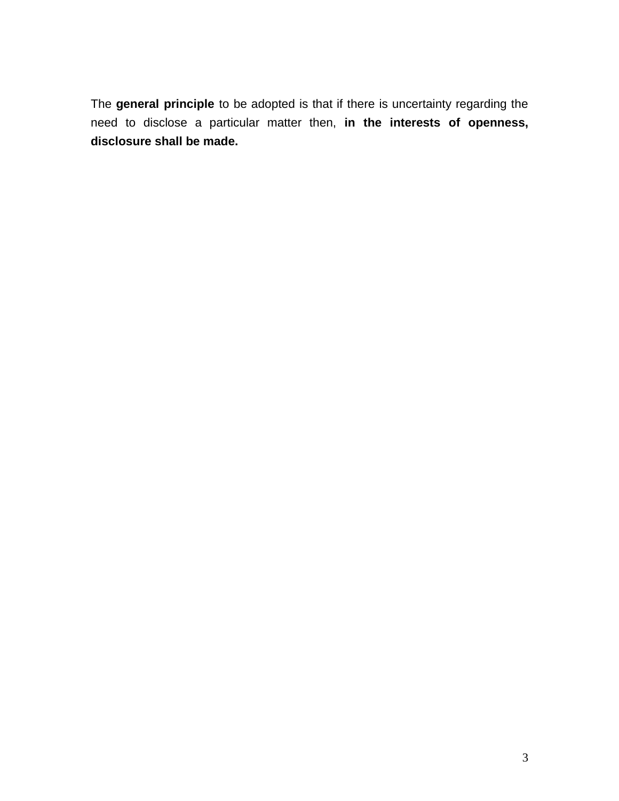The **general principle** to be adopted is that if there is uncertainty regarding the need to disclose a particular matter then, **in the interests of openness, disclosure shall be made.**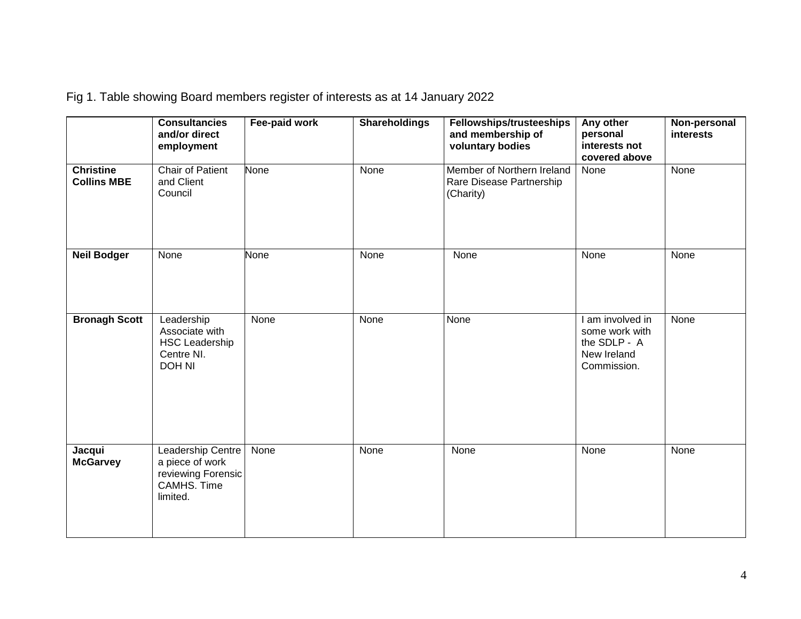Fig 1. Table showing Board members register of interests as at 14 January 2022

|                                        | <b>Consultancies</b><br>and/or direct<br>employment                                   | Fee-paid work | <b>Shareholdings</b> | <b>Fellowships/trusteeships</b><br>and membership of<br>voluntary bodies | Any other<br>personal<br>interests not<br>covered above                          | Non-personal<br><b>interests</b> |
|----------------------------------------|---------------------------------------------------------------------------------------|---------------|----------------------|--------------------------------------------------------------------------|----------------------------------------------------------------------------------|----------------------------------|
| <b>Christine</b><br><b>Collins MBE</b> | Chair of Patient<br>and Client<br>Council                                             | <b>None</b>   | None                 | Member of Northern Ireland<br>Rare Disease Partnership<br>(Charity)      | None                                                                             | None                             |
| <b>Neil Bodger</b>                     | None                                                                                  | <b>None</b>   | None                 | None                                                                     | None                                                                             | None                             |
| <b>Bronagh Scott</b>                   | Leadership<br>Associate with<br><b>HSC Leadership</b><br>Centre NI.<br><b>DOH NI</b>  | None          | None                 | None                                                                     | I am involved in<br>some work with<br>the SDLP - A<br>New Ireland<br>Commission. | None                             |
| Jacqui<br><b>McGarvey</b>              | Leadership Centre<br>a piece of work<br>reviewing Forensic<br>CAMHS. Time<br>limited. | None          | None                 | None                                                                     | None                                                                             | None                             |